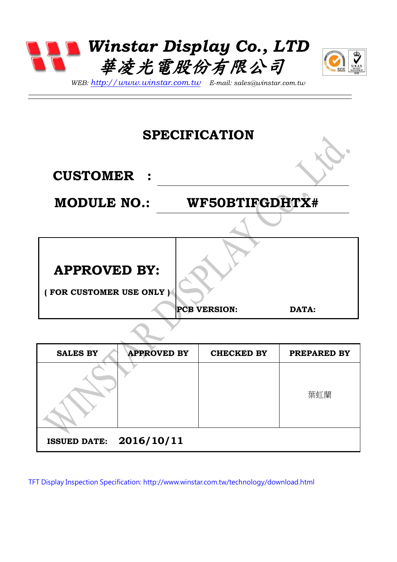



*WEB: [http://www.winstar.com.tw](http://www.winstar.com.tw/) E-mail: sales@winstar.com.tw*

#### **SPECIFICATION**

**CUSTOMER :**

#### **MODULE NO.: WF50BTIFGDHTX#**

**APPROVED BY:** 

**( FOR CUSTOMER USE ONLY )**

**PCB VERSION: DATA:**

| <b>SALES BY</b>                | <b>APPROVED BY</b> | <b>CHECKED BY</b> | PREPARED BY |
|--------------------------------|--------------------|-------------------|-------------|
|                                |                    |                   | 葉虹蘭         |
| <b>ISSUED DATE: 2016/10/11</b> |                    |                   |             |

TFT Display Inspection Specification:<http://www.winstar.com.tw/technology/download.html>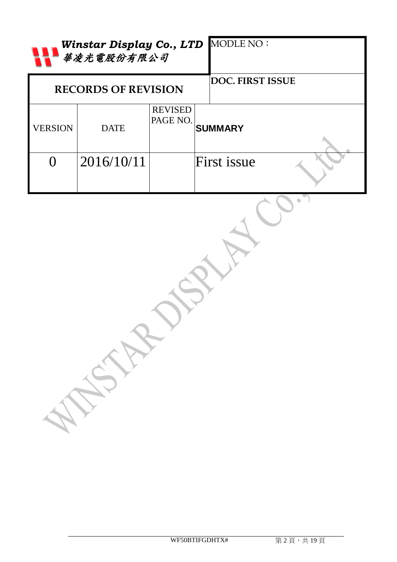|                | 華凌光電股份有限公司                 |                            | Winstar Display Co., LTD MODLE NO: |
|----------------|----------------------------|----------------------------|------------------------------------|
|                | <b>RECORDS OF REVISION</b> |                            | <b>DOC. FIRST ISSUE</b>            |
| <b>VERSION</b> | <b>DATE</b>                | <b>REVISED</b><br>PAGE NO. | <b>SUMMARY</b>                     |
| $\overline{0}$ | 2016/10/11                 |                            | First issue                        |
|                | A REPAIR                   |                            |                                    |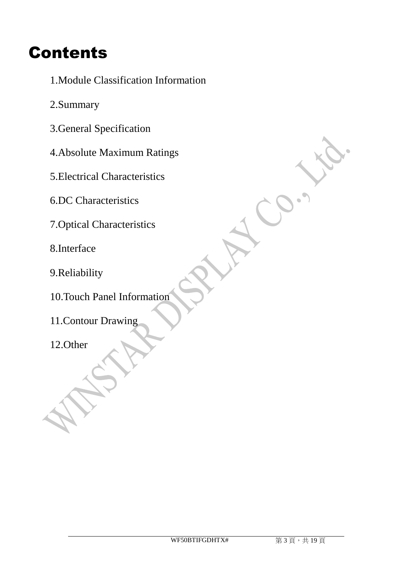#### Contents

- 1.Module Classification Information
- 2.Summary
- 3.General Specification
- 4.Absolute Maximum Ratings
- 5.Electrical Characteristics
- 6.DC Characteristics
- 7.Optical Characteristics
- 8.Interface
- 9.Reliability
- 10.Touch Panel Information
- 11.Contour Drawing
- 12.Other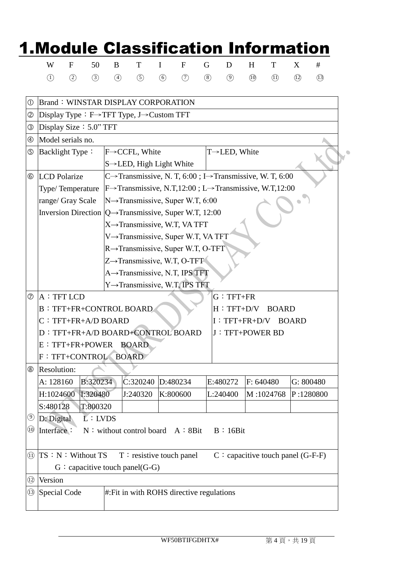|                                | W                            | F   | 50                                                                   | B             | T                                                                                |               | F        | G   | D                                    | H         | T         | X    | #         |
|--------------------------------|------------------------------|-----|----------------------------------------------------------------------|---------------|----------------------------------------------------------------------------------|---------------|----------|-----|--------------------------------------|-----------|-----------|------|-----------|
|                                | $\left( \overline{1}\right)$ | (2) | (3)                                                                  | $\circled{4}$ | (5)                                                                              | $\circled{6}$ | (7)      | (8) | $\circled{9}$                        | (1)       | (1)       | (12) | (13)      |
| $^{\circledR}$                 |                              |     | <b>Brand: WINSTAR DISPLAY CORPORATION</b>                            |               |                                                                                  |               |          |     |                                      |           |           |      |           |
| $^{\circledR}$                 |                              |     | Display Type: $F \rightarrow TFT$ Type, J $\rightarrow$ Custom TFT   |               |                                                                                  |               |          |     |                                      |           |           |      |           |
| ③                              |                              |     | Display Size: 5.0" TFT                                               |               |                                                                                  |               |          |     |                                      |           |           |      |           |
| $^{\circledR}$                 | Model serials no.            |     |                                                                      |               |                                                                                  |               |          |     |                                      |           |           |      |           |
| ⑤                              | Backlight Type:              |     |                                                                      |               | F→CCFL, White                                                                    |               |          |     | $T\rightarrow$ LED, White            |           |           |      |           |
|                                |                              |     |                                                                      |               | $S \rightarrow$ LED, High Light White                                            |               |          |     |                                      |           |           |      |           |
| $^{\circledR}$                 | <b>LCD</b> Polarize          |     |                                                                      |               | C→Transmissive, N. T, 6:00; I→Transmissive, W. T, 6:00                           |               |          |     |                                      |           |           |      |           |
|                                | Type/Temperature             |     |                                                                      |               | F $\rightarrow$ Transmissive, N.T,12:00; L $\rightarrow$ Transmissive, W.T,12:00 |               |          |     |                                      |           |           |      |           |
|                                | range/ Gray Scale            |     |                                                                      |               | $N \rightarrow$ Transmissive, Super W.T, 6:00                                    |               |          |     |                                      |           |           |      |           |
|                                |                              |     | Inversion Direction $ Q \rightarrow Transmissive$ , Super W.T, 12:00 |               |                                                                                  |               |          |     |                                      |           |           |      |           |
|                                |                              |     |                                                                      |               | X→Transmissive, W.T, VA TFT                                                      |               |          |     |                                      |           |           |      |           |
|                                |                              |     |                                                                      |               | V→Transmissive, Super W.T, VA TFT                                                |               |          |     |                                      |           |           |      |           |
|                                |                              |     |                                                                      |               | R→Transmissive, Super W.T, O-TFT                                                 |               |          |     |                                      |           |           |      |           |
|                                |                              |     |                                                                      |               | $Z \rightarrow$ Transmissive, W.T. O-TFT                                         |               |          |     |                                      |           |           |      |           |
|                                |                              |     |                                                                      |               | A→Transmissive, N.T, IPS TFT                                                     |               |          |     |                                      |           |           |      |           |
|                                |                              |     |                                                                      |               | Y→Transmissive, W.T, IPS TFT                                                     |               |          |     |                                      |           |           |      |           |
| $\circledcirc$                 | A: TFT LCD                   |     |                                                                      |               |                                                                                  |               |          |     | $G: TFT+FR$                          |           |           |      |           |
|                                |                              |     | <b>B: TFT+FR+CONTROL BOARD</b>                                       |               |                                                                                  |               |          |     | H : TFT+D/V BOARD                    |           |           |      |           |
|                                |                              |     | $C: TFT+FR+A/D BOARD$                                                |               |                                                                                  |               |          |     | $I: TFT+FR+D/V$ BOARD                |           |           |      |           |
|                                |                              |     | D: TFT+FR+A/D BOARD+CONTROL BOARD                                    |               |                                                                                  |               |          |     | J: TFT+POWER BD                      |           |           |      |           |
|                                |                              |     | E : TFT+FR+POWER BOARD                                               |               |                                                                                  |               |          |     |                                      |           |           |      |           |
|                                |                              |     | F : TFT+CONTROL                                                      |               | <b>BOARD</b>                                                                     |               |          |     |                                      |           |           |      |           |
| $^\circledR$                   | Resolution:                  |     |                                                                      |               |                                                                                  |               |          |     |                                      |           |           |      |           |
|                                | A: 128160                    |     | B:320234                                                             |               | C:320240                                                                         |               | D:480234 |     | E:480272                             | F: 640480 |           |      | G: 800480 |
|                                |                              |     | H:1024600 1:320480                                                   |               | J:240320                                                                         |               | K:800600 |     | L:240400                             |           | M:1024768 |      | P:1280800 |
|                                | S:480128                     |     | T:800320                                                             |               |                                                                                  |               |          |     |                                      |           |           |      |           |
| $_{\odot}$                     | D: Digital                   |     | L:LVDS                                                               |               |                                                                                  |               |          |     |                                      |           |           |      |           |
| $\overline{\textbf{(0)}}$      | Interface:                   |     | $N:$ without control board $A:8Bit$                                  |               |                                                                                  |               |          |     | B:16Bit                              |           |           |      |           |
| $\textcircled{\scriptsize{1}}$ |                              |     | TS : N : Without TS                                                  |               | $T$ : resistive touch panel                                                      |               |          |     | $C$ : capacitive touch panel (G-F-F) |           |           |      |           |
|                                |                              |     |                                                                      |               | $G$ : capacitive touch panel(G-G)                                                |               |          |     |                                      |           |           |      |           |
|                                |                              |     |                                                                      |               |                                                                                  |               |          |     |                                      |           |           |      |           |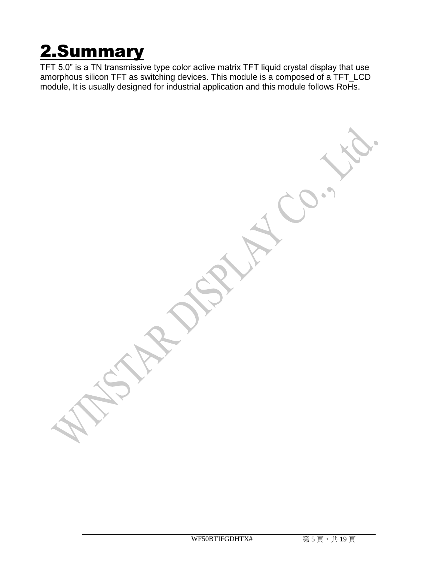## 2.Summary

TFT 5.0" is a TN transmissive type color active matrix TFT liquid crystal display that use amorphous silicon TFT as switching devices. This module is a composed of a TFT\_LCD module, It is usually designed for industrial application and this module follows RoHs.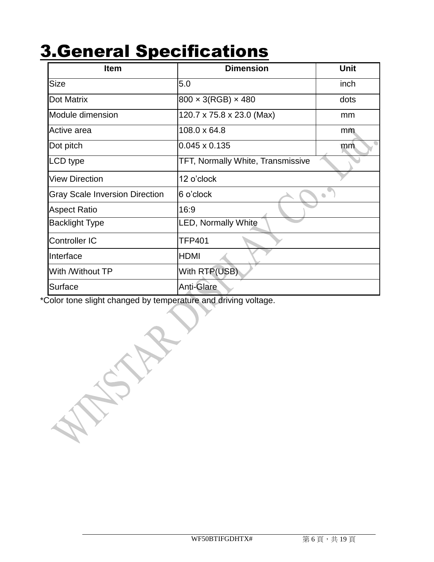#### 3.General Specifications

| <b>Item</b>                           | <b>Dimension</b>                         | <b>Unit</b> |
|---------------------------------------|------------------------------------------|-------------|
| <b>Size</b>                           | 5.0                                      | inch        |
| Dot Matrix                            | $800 \times 3(RGB) \times 480$           | dots        |
| Module dimension                      | 120.7 x 75.8 x 23.0 (Max)                | mm          |
| Active area                           | 108.0 x 64.8                             | mm          |
| Dot pitch                             | $0.045 \times 0.135$                     | mm          |
| LCD type                              | <b>TFT, Normally White, Transmissive</b> |             |
| <b>View Direction</b>                 | 12 o'clock                               |             |
| <b>Gray Scale Inversion Direction</b> | 6 o'clock                                |             |
| <b>Aspect Ratio</b>                   | 16:9                                     |             |
| <b>Backlight Type</b>                 | <b>LED, Normally White</b>               |             |
| <b>Controller IC</b>                  | <b>TFP401</b>                            |             |
| Interface                             | <b>HDMI</b>                              |             |
| With /Without TP                      | With RTP(USB)                            |             |
| Surface                               | Anti-Glare                               |             |

\*Color tone slight changed by temperature and driving voltage.

Y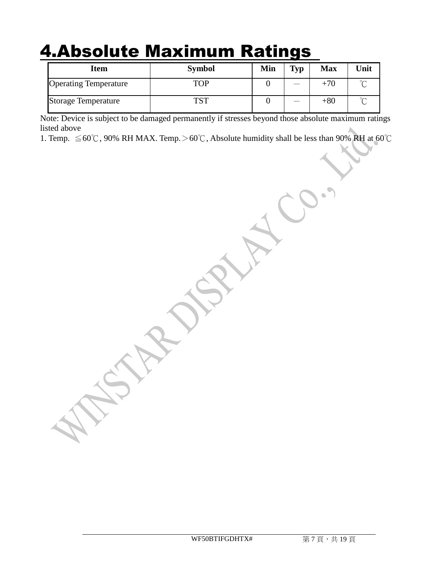#### 4.Absolute Maximum Ratings

| <b>Item</b>                  | <b>Symbol</b> | Min | Typ | <b>Max</b> | Unit   |
|------------------------------|---------------|-----|-----|------------|--------|
| <b>Operating Temperature</b> | TOP           |     |     | $+70$      |        |
| <b>Storage Temperature</b>   | <b>TCT</b>    |     |     | $+80$      | $\sim$ |

Note: Device is subject to be damaged permanently if stresses beyond those absolute maximum ratings listed above

1. Temp.  $\leq 60^{\circ}$ C, 90% RH MAX. Temp. > 60°C, Absolute humidity shall be less than 90% RH at 60°C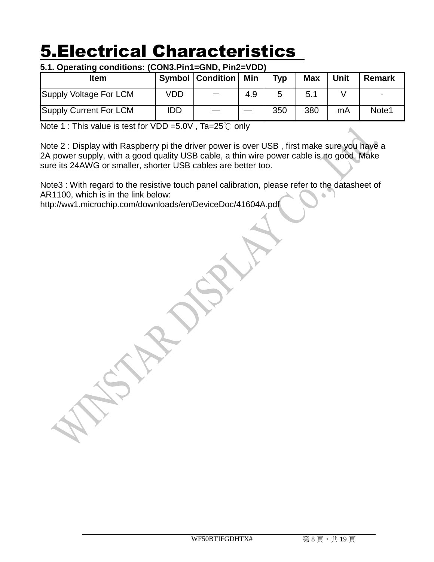#### 5.Electrical Characteristics

#### **5.1. Operating conditions: (CON3.Pin1=GND, Pin2=VDD)**

| <b>Item</b>                   |     | <b>Symbol   Condition  </b> | Min | Typ | <b>Max</b> | Unit | <b>Remark</b> |
|-------------------------------|-----|-----------------------------|-----|-----|------------|------|---------------|
| Supply Voltage For LCM        | VDD | $\overline{\phantom{m}}$    | 4.9 |     | 5.1        |      |               |
| <b>Supply Current For LCM</b> | IDD |                             |     | 350 | 380        | mA   | Note1         |

Note 1 : This value is test for VDD =5.0V , Ta=25℃ only

Note 2 : Display with Raspberry pi the driver power is over USB , first make sure you have a 2A power supply, with a good quality USB cable, a thin wire power cable is no good. Make sure its 24AWG or smaller, shorter USB cables are better too.

Note3 : With regard to the resistive touch panel calibration, please refer to the datasheet of AR1100, which is in the link below: ò.

http://ww1.microchip.com/downloads/en/DeviceDoc/41604A.pdf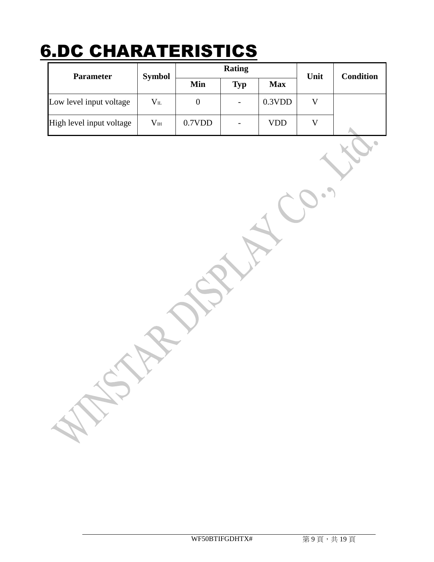## 6.DC CHARATERISTICS

| <b>Parameter</b>         | <b>Symbol</b>    |        | <b>Rating</b>            | Unit       | <b>Condition</b> |  |
|--------------------------|------------------|--------|--------------------------|------------|------------------|--|
|                          |                  | Min    | <b>Typ</b>               | <b>Max</b> |                  |  |
| Low level input voltage  | $V_{IL}$         |        | $\overline{\phantom{a}}$ | 0.3VDD     |                  |  |
| High level input voltage | $\rm V_{\rm IH}$ | 0.7VDD | $\overline{\phantom{0}}$ | VDD        |                  |  |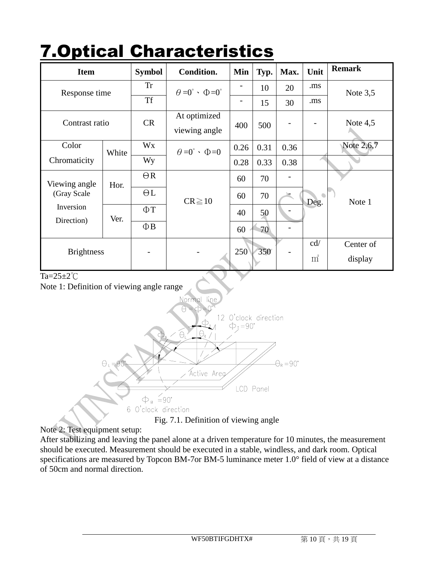| <b>IVPUVAI</b>          |       |               | <u>IIAI AULTI IJUUJ</u>                         |      |      |      |       |               |
|-------------------------|-------|---------------|-------------------------------------------------|------|------|------|-------|---------------|
| <b>Item</b>             |       | <b>Symbol</b> | Condition.                                      | Min  | Typ. | Max. | Unit  | <b>Remark</b> |
| Response time           |       | <b>Tr</b>     | $\theta = 0^{\circ}$ $\cdot$ $\Phi = 0^{\circ}$ |      | 10   | 20   | .ms   | Note $3,5$    |
|                         |       | <b>Tf</b>     |                                                 |      | 15   | 30   | .ms   |               |
| Contrast ratio          |       | <b>CR</b>     | At optimized<br>viewing angle                   | 400  | 500  |      |       | Note $4,5$    |
| Color                   | White | Wx            | $\theta = 0^{\circ}$ $\cdot$ $\Phi = 0$         | 0.26 | 0.31 | 0.36 |       | Note 2,6,7    |
| Chromaticity            |       | Wy            |                                                 | 0.28 | 0.33 | 0.38 |       |               |
| Viewing angle           | Hor.  | $\Theta$ R    |                                                 | 60   | 70   |      |       |               |
| (Gray Scale             |       | $\Theta L$    | $CR \ge 10$                                     | 60   | 70   |      | Deg.  | Note 1        |
| Inversion<br>Direction) | Ver.  | $\Phi$ T      |                                                 | 40   | 50   |      |       |               |
|                         |       | $\Phi$ B      |                                                 | 60   | 70   |      |       |               |
| <b>Brightness</b>       |       |               |                                                 | 250  | 350  |      | cd/   | Center of     |
|                         |       |               |                                                 |      |      |      | $m^2$ | display       |

## **7. Optical Characteristics**

#### Ta=25±2℃

Note 1: Definition of viewing angle range



Note 2: Test equipment setup:

After stabilizing and leaving the panel alone at a driven temperature for 10 minutes, the measurement should be executed. Measurement should be executed in a stable, windless, and dark room. Optical specifications are measured by Topcon BM-7or BM-5 luminance meter 1.0° field of view at a distance of 50cm and normal direction.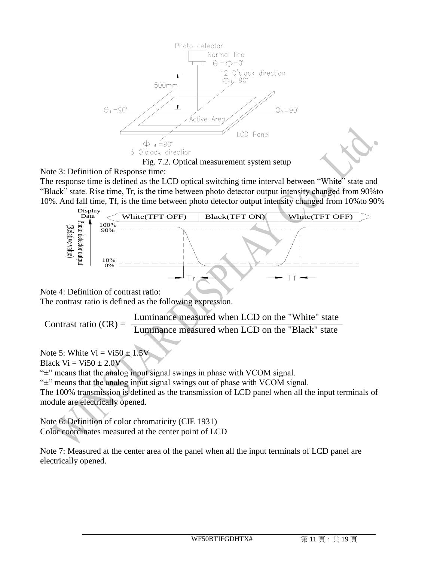

Note 3: Definition of Response time:

The response time is defined as the LCD optical switching time interval between "White" state and "Black" state. Rise time, Tr, is the time between photo detector output intensity changed from 90%to 10%. And fall time, Tf, is the time between photo detector output intensity changed from 10%to 90%



Note 4: Definition of contrast ratio:

The contrast ratio is defined as the following expression.

Luminance measured when LCD on the "White" state Contrast ratio  $(CR) = \frac{2 \times 10^{-11} \text{ mJ} \times 10^{-11} \text{ mJ}}{Luminance measured when LCD on the "Black" state)}$ 

Note 5: White  $Vi = Vi50 \pm 1.5V$ Black  $Vi = Vi50 \pm 2.0V$ 

" $\pm$ " means that the analog input signal swings in phase with VCOM signal.

"±" means that the analog input signal swings out of phase with VCOM signal.

The 100% transmission is defined as the transmission of LCD panel when all the input terminals of module are electrically opened.

Note 6: Definition of color chromaticity (CIE 1931) Color coordinates measured at the center point of LCD

Note 7: Measured at the center area of the panel when all the input terminals of LCD panel are electrically opened.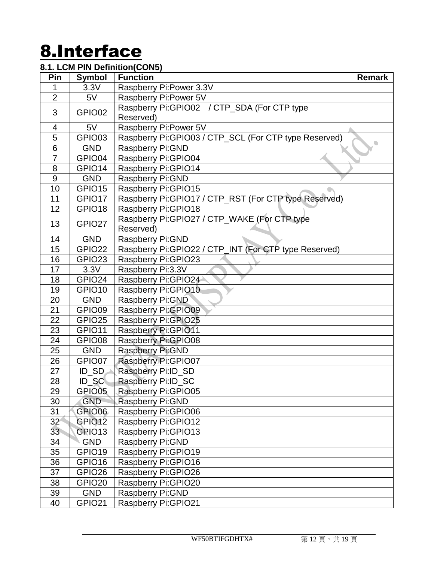## 8.Interface

#### **8.1. LCM PIN Definition(CON5)**

| Pin             | <b>Symbol</b>       | <b>Function</b>                                       | Remark |
|-----------------|---------------------|-------------------------------------------------------|--------|
| 1               | 3.3V                | Raspberry Pi: Power 3.3V                              |        |
| $\overline{2}$  | 5V                  | Raspberry Pi: Power 5V                                |        |
| 3               | GPIO02              | Raspberry Pi:GPIO02 / CTP_SDA (For CTP type           |        |
|                 |                     | Reserved)                                             |        |
| 4               | 5V                  | Raspberry Pi: Power 5V                                |        |
| 5               | GPIO03              | Raspberry Pi:GPIO03 / CTP_SCL (For CTP type Reserved) |        |
| $\overline{6}$  | <b>GND</b>          | Raspberry Pi: GND                                     |        |
| $\overline{7}$  | GPIO04              | Raspberry Pi: GPIO04                                  |        |
| 8               | GPIO14              | Raspberry Pi: GPIO14                                  |        |
| 9               | <b>GND</b>          | Raspberry Pi: GND                                     |        |
| 10              | GPIO15              | Raspberry Pi: GPIO15                                  |        |
| 11              | GPIO17              | Raspberry Pi:GPIO17 / CTP_RST (For CTP type Reserved) |        |
| 12              | GPIO18              | Raspberry Pi: GPIO18                                  |        |
| 13              | GPIO27              | Raspberry Pi:GPIO27 / CTP_WAKE (For CTP type          |        |
|                 |                     | Reserved)                                             |        |
| 14              | <b>GND</b>          | Raspberry Pi: GND                                     |        |
| 15              | GPIO22              | Raspberry Pi:GPIO22 / CTP_INT (For CTP type Reserved) |        |
| 16              | GPIO <sub>23</sub>  | Raspberry Pi: GPIO23                                  |        |
| 17              | 3.3V                | Raspberry Pi:3.3V                                     |        |
| 18              | GPIO24              | Raspberry Pi:GPIO24                                   |        |
| 19              | GPIO <sub>10</sub>  | Raspberry Pi: GPIO10                                  |        |
| 20              | <b>GND</b>          | Raspberry Pi: GND                                     |        |
| 21              | GPIO09              | Raspberry Pi: GPIO09                                  |        |
| 22              | GPIO <sub>25</sub>  | Raspberry Pi: GPIO25                                  |        |
| 23              | GPIO11              | <b>Raspberry Pi:GPIO11</b>                            |        |
| 24              | GPIO08              | Raspberry Pi:GPIO08                                   |        |
| 25              | <b>GND</b>          | Raspberry Pi: GND                                     |        |
| 26              | GPIO07              | Raspberry Pi: GPIO07                                  |        |
| 27              | $ID$ <sub>_SD</sub> | Raspberry Pi:ID_SD                                    |        |
| 28              | ID_SC               | Raspberry Pi:ID_SC                                    |        |
| 29              | GPIO05              | Raspberry Pi: GPIO05                                  |        |
| 30              | <b>GND</b>          | Raspberry Pi: GND                                     |        |
| 31              | GPIO06              | Raspberry Pi: GPIO06                                  |        |
| 32 <sup>°</sup> | GPIO <sub>12</sub>  | Raspberry Pi: GPIO12                                  |        |
| 33              | GRIO13              | Raspberry Pi: GPIO13                                  |        |
| 34              | <b>GND</b>          | Raspberry Pi: GND                                     |        |
| 35              | GPIO19              | Raspberry Pi: GPIO19                                  |        |
| 36              | GPIO16              | Raspberry Pi: GPIO16                                  |        |
| 37              | GPIO <sub>26</sub>  | Raspberry Pi: GPIO26                                  |        |
| 38              | GPIO <sub>20</sub>  | Raspberry Pi: GPIO20                                  |        |
| 39              | <b>GND</b>          | Raspberry Pi: GND                                     |        |
| 40              | GPIO21              | Raspberry Pi: GPIO21                                  |        |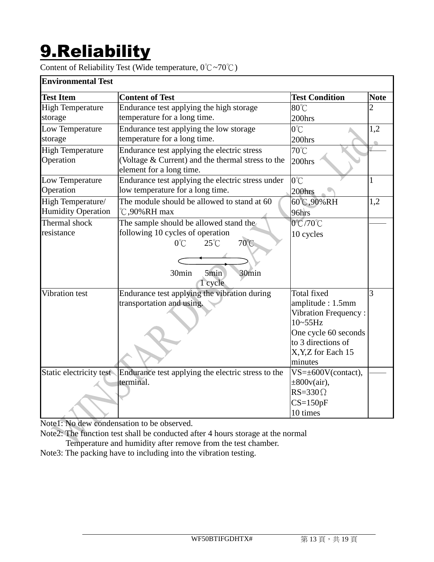# 9.Reliability

Content of Reliability Test (Wide temperature, 0℃~70℃)

| <b>Test Condition</b><br><b>Test Item</b><br><b>Content of Test</b><br><b>Note</b><br><b>High Temperature</b><br>Endurance test applying the high storage<br>80°C<br>$\overline{2}$<br>temperature for a long time.<br>storage<br>200hrs<br>$0^{\circ}$ C<br>Endurance test applying the low storage<br>1,2<br>temperature for a long time.<br>storage<br>200hrs<br>Endurance test applying the electric stress<br>70°C<br>(Voltage & Current) and the thermal stress to the<br>Operation<br>200hrs<br>element for a long time.<br>$0^{\circ}$ C<br>Endurance test applying the electric stress under<br>$\mathbf{1}$<br>Operation<br>low temperature for a long time.<br>200hrs<br>The module should be allowed to stand at 60<br>60℃,90%RH<br>1,2<br><b>Humidity Operation</b><br>$\degree$ C,90%RH max<br>96hrs<br>Thermal shock<br>The sample should be allowed stand the<br>0°C/70°C<br>following 10 cycles of operation<br>10 cycles<br>70°C<br>$25^{\circ}$ C<br>$0^{\circ}$ C<br>30min<br>30min<br>5min<br>1 cycle<br>Total fixed<br>3<br>Endurance test applying the vibration during<br>Vibration test<br>transportation and using.<br>amplitude: 1.5mm<br><b>Vibration Frequency:</b><br>$10 - 55$ Hz<br>One cycle 60 seconds<br>to 3 directions of<br>X, Y, Z for Each 15 | <b>Environmental Test</b> |  |  |
|---------------------------------------------------------------------------------------------------------------------------------------------------------------------------------------------------------------------------------------------------------------------------------------------------------------------------------------------------------------------------------------------------------------------------------------------------------------------------------------------------------------------------------------------------------------------------------------------------------------------------------------------------------------------------------------------------------------------------------------------------------------------------------------------------------------------------------------------------------------------------------------------------------------------------------------------------------------------------------------------------------------------------------------------------------------------------------------------------------------------------------------------------------------------------------------------------------------------------------------------------------------------------------------|---------------------------|--|--|
|                                                                                                                                                                                                                                                                                                                                                                                                                                                                                                                                                                                                                                                                                                                                                                                                                                                                                                                                                                                                                                                                                                                                                                                                                                                                                       |                           |  |  |
|                                                                                                                                                                                                                                                                                                                                                                                                                                                                                                                                                                                                                                                                                                                                                                                                                                                                                                                                                                                                                                                                                                                                                                                                                                                                                       |                           |  |  |
|                                                                                                                                                                                                                                                                                                                                                                                                                                                                                                                                                                                                                                                                                                                                                                                                                                                                                                                                                                                                                                                                                                                                                                                                                                                                                       |                           |  |  |
|                                                                                                                                                                                                                                                                                                                                                                                                                                                                                                                                                                                                                                                                                                                                                                                                                                                                                                                                                                                                                                                                                                                                                                                                                                                                                       | Low Temperature           |  |  |
|                                                                                                                                                                                                                                                                                                                                                                                                                                                                                                                                                                                                                                                                                                                                                                                                                                                                                                                                                                                                                                                                                                                                                                                                                                                                                       |                           |  |  |
|                                                                                                                                                                                                                                                                                                                                                                                                                                                                                                                                                                                                                                                                                                                                                                                                                                                                                                                                                                                                                                                                                                                                                                                                                                                                                       | <b>High Temperature</b>   |  |  |
|                                                                                                                                                                                                                                                                                                                                                                                                                                                                                                                                                                                                                                                                                                                                                                                                                                                                                                                                                                                                                                                                                                                                                                                                                                                                                       |                           |  |  |
|                                                                                                                                                                                                                                                                                                                                                                                                                                                                                                                                                                                                                                                                                                                                                                                                                                                                                                                                                                                                                                                                                                                                                                                                                                                                                       | Low Temperature           |  |  |
|                                                                                                                                                                                                                                                                                                                                                                                                                                                                                                                                                                                                                                                                                                                                                                                                                                                                                                                                                                                                                                                                                                                                                                                                                                                                                       |                           |  |  |
|                                                                                                                                                                                                                                                                                                                                                                                                                                                                                                                                                                                                                                                                                                                                                                                                                                                                                                                                                                                                                                                                                                                                                                                                                                                                                       | High Temperature/         |  |  |
|                                                                                                                                                                                                                                                                                                                                                                                                                                                                                                                                                                                                                                                                                                                                                                                                                                                                                                                                                                                                                                                                                                                                                                                                                                                                                       |                           |  |  |
|                                                                                                                                                                                                                                                                                                                                                                                                                                                                                                                                                                                                                                                                                                                                                                                                                                                                                                                                                                                                                                                                                                                                                                                                                                                                                       |                           |  |  |
|                                                                                                                                                                                                                                                                                                                                                                                                                                                                                                                                                                                                                                                                                                                                                                                                                                                                                                                                                                                                                                                                                                                                                                                                                                                                                       | resistance                |  |  |
|                                                                                                                                                                                                                                                                                                                                                                                                                                                                                                                                                                                                                                                                                                                                                                                                                                                                                                                                                                                                                                                                                                                                                                                                                                                                                       |                           |  |  |
|                                                                                                                                                                                                                                                                                                                                                                                                                                                                                                                                                                                                                                                                                                                                                                                                                                                                                                                                                                                                                                                                                                                                                                                                                                                                                       |                           |  |  |
|                                                                                                                                                                                                                                                                                                                                                                                                                                                                                                                                                                                                                                                                                                                                                                                                                                                                                                                                                                                                                                                                                                                                                                                                                                                                                       |                           |  |  |
|                                                                                                                                                                                                                                                                                                                                                                                                                                                                                                                                                                                                                                                                                                                                                                                                                                                                                                                                                                                                                                                                                                                                                                                                                                                                                       |                           |  |  |
|                                                                                                                                                                                                                                                                                                                                                                                                                                                                                                                                                                                                                                                                                                                                                                                                                                                                                                                                                                                                                                                                                                                                                                                                                                                                                       |                           |  |  |
|                                                                                                                                                                                                                                                                                                                                                                                                                                                                                                                                                                                                                                                                                                                                                                                                                                                                                                                                                                                                                                                                                                                                                                                                                                                                                       |                           |  |  |
|                                                                                                                                                                                                                                                                                                                                                                                                                                                                                                                                                                                                                                                                                                                                                                                                                                                                                                                                                                                                                                                                                                                                                                                                                                                                                       |                           |  |  |
|                                                                                                                                                                                                                                                                                                                                                                                                                                                                                                                                                                                                                                                                                                                                                                                                                                                                                                                                                                                                                                                                                                                                                                                                                                                                                       |                           |  |  |
|                                                                                                                                                                                                                                                                                                                                                                                                                                                                                                                                                                                                                                                                                                                                                                                                                                                                                                                                                                                                                                                                                                                                                                                                                                                                                       |                           |  |  |
|                                                                                                                                                                                                                                                                                                                                                                                                                                                                                                                                                                                                                                                                                                                                                                                                                                                                                                                                                                                                                                                                                                                                                                                                                                                                                       |                           |  |  |
| minutes                                                                                                                                                                                                                                                                                                                                                                                                                                                                                                                                                                                                                                                                                                                                                                                                                                                                                                                                                                                                                                                                                                                                                                                                                                                                               |                           |  |  |
| Endurance test applying the electric stress to the<br>$VS=\pm 600V$ (contact),                                                                                                                                                                                                                                                                                                                                                                                                                                                                                                                                                                                                                                                                                                                                                                                                                                                                                                                                                                                                                                                                                                                                                                                                        | Static electricity test   |  |  |
| terminal.<br>$\pm 800v(air)$ ,                                                                                                                                                                                                                                                                                                                                                                                                                                                                                                                                                                                                                                                                                                                                                                                                                                                                                                                                                                                                                                                                                                                                                                                                                                                        |                           |  |  |
| $RS = 330 \Omega$                                                                                                                                                                                                                                                                                                                                                                                                                                                                                                                                                                                                                                                                                                                                                                                                                                                                                                                                                                                                                                                                                                                                                                                                                                                                     |                           |  |  |
| $CS=150pF$                                                                                                                                                                                                                                                                                                                                                                                                                                                                                                                                                                                                                                                                                                                                                                                                                                                                                                                                                                                                                                                                                                                                                                                                                                                                            |                           |  |  |
| 10 times                                                                                                                                                                                                                                                                                                                                                                                                                                                                                                                                                                                                                                                                                                                                                                                                                                                                                                                                                                                                                                                                                                                                                                                                                                                                              |                           |  |  |

Note1: No dew condensation to be observed.

Note2: The function test shall be conducted after 4 hours storage at the normal

Temperature and humidity after remove from the test chamber.

Note3: The packing have to including into the vibration testing.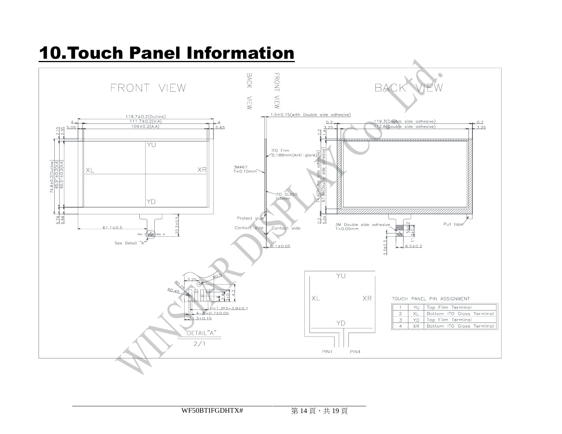## 10.Touch Panel Information

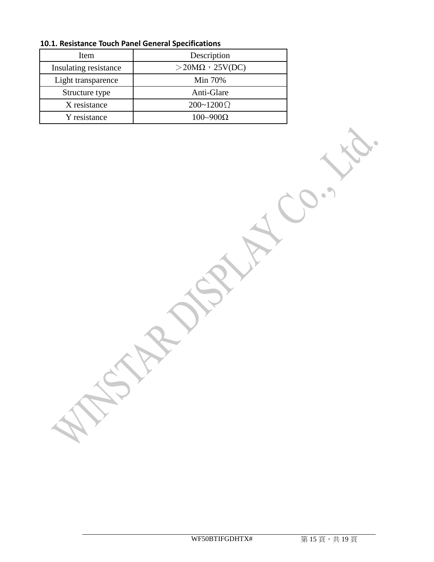| Item                  | Description                |
|-----------------------|----------------------------|
| Insulating resistance | $>$ 20M $\Omega$ , 25V(DC) |
| Light transparence    | Min 70%                    |
| Structure type        | Anti-Glare                 |
| X resistance          | $200 - 1200 \Omega$        |
| Y resistance          | $100 \sim 900 \Omega$      |

**10.1. Resistance Touch Panel General Specifications**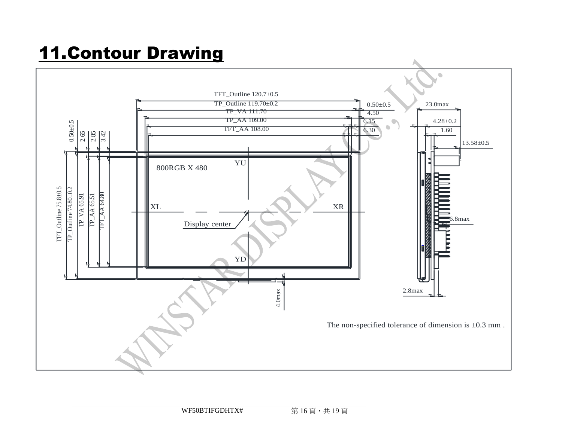# 11.Contour Drawing

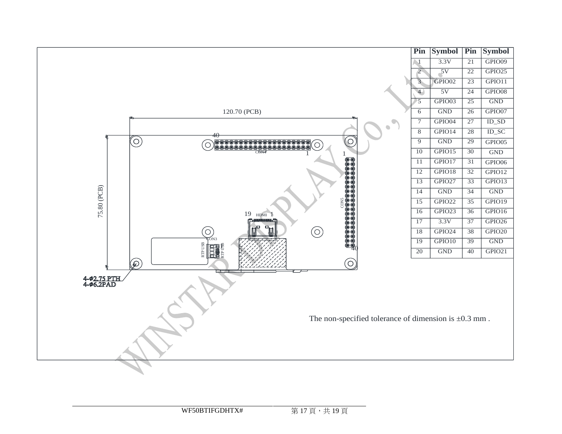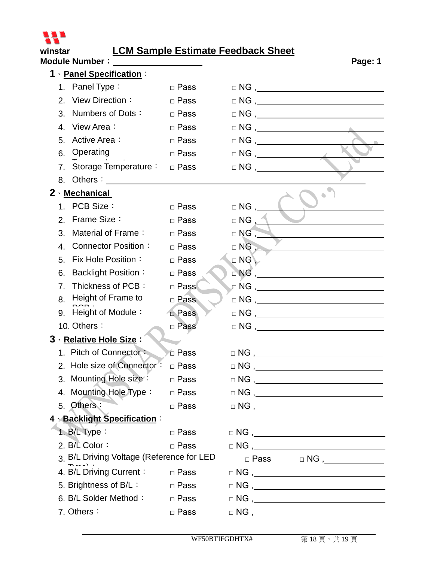

#### **winstar LCM Sample Estimate Feedback Sheet**

| Module Number: Value 1000                 |             |                                                                         | Page: 1 |
|-------------------------------------------|-------------|-------------------------------------------------------------------------|---------|
| 1 · Panel Specification:                  |             |                                                                         |         |
| 1. Panel Type:                            | □ Pass      |                                                                         |         |
| 2. View Direction:                        | □ Pass      | $\Box NG \; , \; \underline{\hspace{1cm}}$                              |         |
| Numbers of Dots:<br>3.                    | $\Box$ Pass |                                                                         |         |
| 4. View Area:                             | $\Box$ Pass |                                                                         |         |
| Active Area:<br>5.                        | □ Pass      | $\Box$ NG $,$                                                           |         |
| 6. Operating                              | □ Pass      |                                                                         |         |
| 7. Storage Temperature:                   | □ Pass      |                                                                         |         |
| 8. Others:                                |             |                                                                         |         |
| 2 Mechanical                              |             |                                                                         |         |
| 1. PCB Size:                              | $\Box$ Pass | $\Box$ NG , ____                                                        |         |
| Frame Size:<br>2.                         | $\Box$ Pass | $\Box$ NG $\Box$                                                        |         |
| Material of Frame:<br>3.                  | $\Box$ Pass | $\Box$ NG , $\_\_$                                                      |         |
| Connector Position:<br>4.                 | $\Box$ Pass | $\Box$ NG $\Box$                                                        |         |
| Fix Hole Position:<br>5.                  | $\Box$ Pass | $\Box$ NG $\Box$                                                        |         |
| <b>Backlight Position:</b><br>6.          | $\Box$ Pass |                                                                         |         |
| Thickness of PCB:<br>$7_{\cdot}$          | □ Pass      |                                                                         |         |
| Height of Frame to<br>8.                  | □ Pass      | $\Box$ NG , $\Box$                                                      |         |
| 9. Height of Module:                      | $\Box$ Pass |                                                                         |         |
| 10. Others:                               | □ Pass      |                                                                         |         |
| 3 · Relative Hole Size:                   |             |                                                                         |         |
| 1. Pitch of Connector:                    | □ Pass      | $\hfill\square {\sf NG}\ ,$                                             |         |
| 2. Hole size of Connector:                | □ Pass      | $\Box$ NG,                                                              |         |
| 3. Mounting Hole size : □ Pass            |             | $\Box NG , \underline{\hspace{2cm}}$                                    |         |
| 4. Mounting Hole Type:                    | □ Pass      | $\hfill \Box \,\, NG \,\, ,$                                            |         |
| 5. Others:                                | □ Pass      | $\hfill\square {\sf NG}\ ,$                                             |         |
| 4 <b>Backlight Specification:</b>         |             |                                                                         |         |
| 1. $B/L$ Type:                            | □ Pass      |                                                                         |         |
| 2. B/L Color:                             | $\Box$ Pass | $\hfill\square\,\,\mathsf{NG}\,\, ,\qquad \qquad \rule{2.2cm}{0pt}\,\,$ |         |
| 3. B/L Driving Voltage (Reference for LED |             |                                                                         |         |
| 4. B/L Driving Current: DRass             |             |                                                                         |         |
| 5. Brightness of B/L:                     | □ Pass      | $\Box \,\, NG \,\, , \qquad \qquad \Box$                                |         |
| 6. B/L Solder Method:                     | □ Pass      |                                                                         |         |
| 7. Others:                                | $\Box$ Pass | $\Box \,\, NG\,\, , \underline{\hspace{1cm}} \underline{\hspace{1cm}}$  |         |